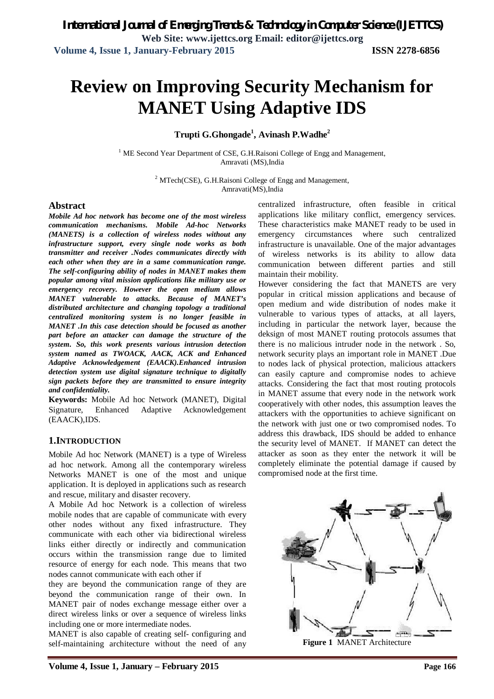*International Journal of Emerging Trends & Technology in Computer Science (IJETTCS)* **Web Site: www.ijettcs.org Email: editor@ijettcs.org Volume 4, Issue 1, January-February 2015 ISSN 2278-6856**

# **Review on Improving Security Mechanism for MANET Using Adaptive IDS**

**Trupti G.Ghongade<sup>1</sup> , Avinash P.Wadhe<sup>2</sup>**

<sup>1</sup> ME Second Year Department of CSE, G.H.Raisoni College of Engg and Management, Amravati (MS),India

> <sup>2</sup> MTech(CSE), G.H.Raisoni College of Engg and Management, Amravati(MS),India

#### **Abstract**

*Mobile Ad hoc network has become one of the most wireless communication mechanisms. Mobile Ad-hoc Networks (MANETS) is a collection of wireless nodes without any infrastructure support, every single node works as both transmitter and receiver .Nodes communicates directly with each other when they are in a same communication range. The self-configuring ability of nodes in MANET makes them popular among vital mission applications like military use or emergency recovery. However the open medium allows MANET vulnerable to attacks. Because of MANET's distributed architecture and changing topology a traditional centralized monitoring system is no longer feasible in MANET .In this case detection should be focused as another part before an attacker can damage the structure of the system. So, this work presents various intrusion detection system named as TWOACK, AACK, ACK and Enhanced Adaptive Acknowledgement (EAACK).Enhanced intrusion detection system use digital signature technique to digitally sign packets before they are transmitted to ensure integrity and confidentiality.* 

**Keywords:** Mobile Ad hoc Network (MANET), Digital Signature, Enhanced Adaptive Acknowledgement (EAACK),IDS.

#### **1.INTRODUCTION**

Mobile Ad hoc Network (MANET) is a type of Wireless ad hoc network. Among all the contemporary wireless Networks MANET is one of the most and unique application. It is deployed in applications such as research and rescue, military and disaster recovery.

A Mobile Ad hoc Network is a collection of wireless mobile nodes that are capable of communicate with every other nodes without any fixed infrastructure. They communicate with each other via bidirectional wireless links either directly or indirectly and communication occurs within the transmission range due to limited resource of energy for each node. This means that two nodes cannot communicate with each other if

they are beyond the communication range of they are beyond the communication range of their own. In MANET pair of nodes exchange message either over a direct wireless links or over a sequence of wireless links including one or more intermediate nodes.

MANET is also capable of creating self- configuring and self-maintaining architecture without the need of any

centralized infrastructure, often feasible in critical applications like military conflict, emergency services. These characteristics make MANET ready to be used in emergency circumstances where such centralized infrastructure is unavailable. One of the major advantages of wireless networks is its ability to allow data communication between different parties and still maintain their mobility.

However considering the fact that MANETS are very popular in critical mission applications and because of open medium and wide distribution of nodes make it vulnerable to various types of attacks, at all layers, including in particular the network layer, because the deksign of most MANET routing protocols assumes that there is no malicious intruder node in the network . So, network security plays an important role in MANET .Due to nodes lack of physical protection, malicious attackers can easily capture and compromise nodes to achieve attacks. Considering the fact that most routing protocols in MANET assume that every node in the network work cooperatively with other nodes, this assumption leaves the attackers with the opportunities to achieve significant on the network with just one or two compromised nodes. To address this drawback, IDS should be added to enhance the security level of MANET. If MANET can detect the attacker as soon as they enter the network it will be completely eliminate the potential damage if caused by compromised node at the first time.



**Figure 1** MANET Architecture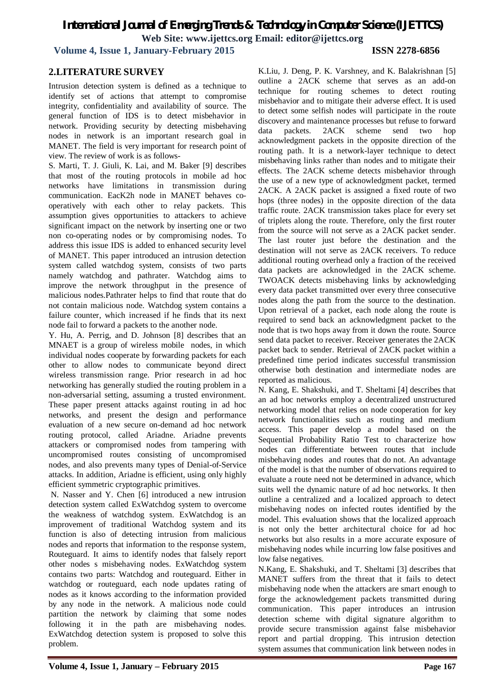**Volume 4, Issue 1, January-February 2015 ISSN 2278-6856**

# **2.LITERATURE SURVEY**

Intrusion detection system is defined as a technique to identify set of actions that attempt to compromise integrity, confidentiality and availability of source. The general function of IDS is to detect misbehavior in network. Providing security by detecting misbehaving nodes in network is an important research goal in MANET. The field is very important for research point of view. The review of work is as follows-

S. Marti, T. J. Giuli, K. Lai, and M. Baker [9] describes that most of the routing protocols in mobile ad hoc networks have limitations in transmission during communication. EacK2h node in MANET behaves cooperatively with each other to relay packets. This assumption gives opportunities to attackers to achieve significant impact on the network by inserting one or two non co-operating nodes or by compromising nodes. To address this issue IDS is added to enhanced security level of MANET. This paper introduced an intrusion detection system called watchdog system, consists of two parts namely watchdog and pathrater. Watchdog aims to improve the network throughput in the presence of malicious nodes.Pathrater helps to find that route that do not contain malicious node. Watchdog system contains a failure counter, which increased if he finds that its next node fail to forward a packets to the another node.

Y. Hu, A. Perrig, and D. Johnson [8] describes that an MNAET is a group of wireless mobile nodes, in which individual nodes cooperate by forwarding packets for each other to allow nodes to communicate beyond direct wireless transmission range. Prior research in ad hoc networking has generally studied the routing problem in a non-adversarial setting, assuming a trusted environment. These paper present attacks against routing in ad hoc networks, and present the design and performance evaluation of a new secure on-demand ad hoc network routing protocol, called Ariadne. Ariadne prevents attackers or compromised nodes from tampering with uncompromised routes consisting of uncompromised nodes, and also prevents many types of Denial-of-Service attacks. In addition, Ariadne is efficient, using only highly efficient symmetric cryptographic primitives.

N. Nasser and Y. Chen [6] introduced a new intrusion detection system called ExWatchdog system to overcome the weakness of watchdog system. ExWatchdog is an improvement of traditional Watchdog system and its function is also of detecting intrusion from malicious nodes and reports that information to the response system, Routeguard. It aims to identify nodes that falsely report other nodes s misbehaving nodes. ExWatchdog system contains two parts: Watchdog and routeguard. Either in watchdog or routeguard, each node updates rating of nodes as it knows according to the information provided by any node in the network. A malicious node could partition the network by claiming that some nodes following it in the path are misbehaving nodes. ExWatchdog detection system is proposed to solve this problem.

K.Liu, J. Deng, P. K. Varshney, and K. Balakrishnan [5] outline a 2ACK scheme that serves as an add-on technique for routing schemes to detect routing misbehavior and to mitigate their adverse effect. It is used to detect some selfish nodes will participate in the route discovery and maintenance processes but refuse to forward data packets. 2ACK scheme send two hop acknowledgment packets in the opposite direction of the routing path. It is a network-layer technique to detect misbehaving links rather than nodes and to mitigate their effects. The 2ACK scheme detects misbehavior through the use of a new type of acknowledgment packet, termed 2ACK. A 2ACK packet is assigned a fixed route of two hops (three nodes) in the opposite direction of the data traffic route. 2ACK transmission takes place for every set of triplets along the route. Therefore, only the first router from the source will not serve as a 2ACK packet sender. The last router just before the destination and the destination will not serve as 2ACK receivers. To reduce additional routing overhead only a fraction of the received data packets are acknowledged in the 2ACK scheme. TWOACK detects misbehaving links by acknowledging every data packet transmitted over every three consecutive nodes along the path from the source to the destination. Upon retrieval of a packet, each node along the route is required to send back an acknowledgment packet to the node that is two hops away from it down the route. Source send data packet to receiver. Receiver generates the 2ACK packet back to sender. Retrieval of 2ACK packet within a predefined time period indicates successful transmission otherwise both destination and intermediate nodes are reported as malicious.

N. Kang, E. Shakshuki, and T. Sheltami [4] describes that an ad hoc networks employ a decentralized unstructured networking model that relies on node cooperation for key network functionalities such as routing and medium access. This paper develop a model based on the Sequential Probability Ratio Test to characterize how nodes can differentiate between routes that include misbehaving nodes and routes that do not. An advantage of the model is that the number of observations required to evaluate a route need not be determined in advance, which suits well the dynamic nature of ad hoc networks. It then outline a centralized and a localized approach to detect misbehaving nodes on infected routes identified by the model. This evaluation shows that the localized approach is not only the better architectural choice for ad hoc networks but also results in a more accurate exposure of misbehaving nodes while incurring low false positives and low false negatives.

N.Kang, E. Shakshuki, and T. Sheltami [3] describes that MANET suffers from the threat that it fails to detect misbehaving node when the attackers are smart enough to forge the acknowledgement packets transmitted during communication. This paper introduces an intrusion detection scheme with digital signature algorithm to provide secure transmission against false misbehavior report and partial dropping. This intrusion detection system assumes that communication link between nodes in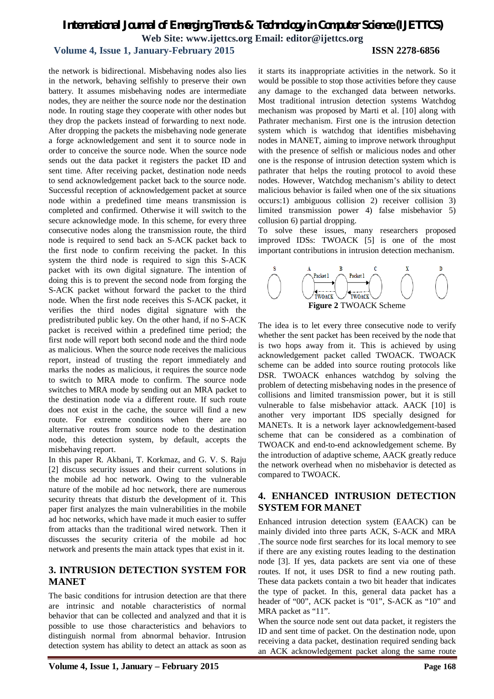## **Volume 4, Issue 1, January-February 2015 ISSN 2278-6856**

the network is bidirectional. Misbehaving nodes also lies in the network, behaving selfishly to preserve their own battery. It assumes misbehaving nodes are intermediate nodes, they are neither the source node nor the destination node. In routing stage they cooperate with other nodes but they drop the packets instead of forwarding to next node. After dropping the packets the misbehaving node generate a forge acknowledgement and sent it to source node in order to conceive the source node. When the source node sends out the data packet it registers the packet ID and sent time. After receiving packet, destination node needs to send acknowledgement packet back to the source node. Successful reception of acknowledgement packet at source node within a predefined time means transmission is completed and confirmed. Otherwise it will switch to the secure acknowledge mode. In this scheme, for every three consecutive nodes along the transmission route, the third node is required to send back an S-ACK packet back to the first node to confirm receiving the packet. In this system the third node is required to sign this S-ACK packet with its own digital signature. The intention of doing this is to prevent the second node from forging the S-ACK packet without forward the packet to the third node. When the first node receives this S-ACK packet, it verifies the third nodes digital signature with the predistributed public key. On the other hand, if no S-ACK packet is received within a predefined time period; the first node will report both second node and the third node as malicious. When the source node receives the malicious report, instead of trusting the report immediately and marks the nodes as malicious, it requires the source node to switch to MRA mode to confirm. The source node switches to MRA mode by sending out an MRA packet to the destination node via a different route. If such route does not exist in the cache, the source will find a new route. For extreme conditions when there are no alternative routes from source node to the destination node, this detection system, by default, accepts the misbehaving report.

In this paper R. Akbani, T. Korkmaz, and G. V. S. Raju [2] discuss security issues and their current solutions in the mobile ad hoc network. Owing to the vulnerable nature of the mobile ad hoc network, there are numerous security threats that disturb the development of it. This paper first analyzes the main vulnerabilities in the mobile ad hoc networks, which have made it much easier to suffer from attacks than the traditional wired network. Then it discusses the security criteria of the mobile ad hoc network and presents the main attack types that exist in it.

### **3. INTRUSION DETECTION SYSTEM FOR MANET**

The basic conditions for intrusion detection are that there are intrinsic and notable characteristics of normal behavior that can be collected and analyzed and that it is possible to use those characteristics and behaviors to distinguish normal from abnormal behavior. Intrusion detection system has ability to detect an attack as soon as

it starts its inappropriate activities in the network. So it would be possible to stop those activities before they cause any damage to the exchanged data between networks. Most traditional intrusion detection systems Watchdog mechanism was proposed by Marti et al. [10] along with Pathrater mechanism. First one is the intrusion detection system which is watchdog that identifies misbehaving nodes in MANET, aiming to improve network throughput with the presence of selfish or malicious nodes and other one is the response of intrusion detection system which is pathrater that helps the routing protocol to avoid these nodes. However, Watchdog mechanism's ability to detect malicious behavior is failed when one of the six situations occurs:1) ambiguous collision 2) receiver collision 3) limited transmission power 4) false misbehavior 5) collusion 6) partial dropping.

To solve these issues, many researchers proposed improved IDSs: TWOACK [5] is one of the most important contributions in intrusion detection mechanism.



The idea is to let every three consecutive node to verify whether the sent packet has been received by the node that is two hops away from it. This is achieved by using acknowledgement packet called TWOACK. TWOACK scheme can be added into source routing protocols like DSR. TWOACK enhances watchdog by solving the problem of detecting misbehaving nodes in the presence of collisions and limited transmission power, but it is still vulnerable to false misbehavior attack. AACK [10] is another very important IDS specially designed for MANETs. It is a network layer acknowledgement-based scheme that can be considered as a combination of TWOACK and end-to-end acknowledgement scheme. By the introduction of adaptive scheme, AACK greatly reduce the network overhead when no misbehavior is detected as compared to TWOACK.

# **4. ENHANCED INTRUSION DETECTION SYSTEM FOR MANET**

Enhanced intrusion detection system (EAACK) can be mainly divided into three parts ACK, S-ACK and MRA .The source node first searches for its local memory to see if there are any existing routes leading to the destination node [3]. If yes, data packets are sent via one of these routes. If not, it uses DSR to find a new routing path. These data packets contain a two bit header that indicates the type of packet. In this, general data packet has a header of "00", ACK packet is "01", S-ACK as "10" and MRA packet as "11".

When the source node sent out data packet, it registers the ID and sent time of packet. On the destination node, upon receiving a data packet, destination required sending back an ACK acknowledgement packet along the same route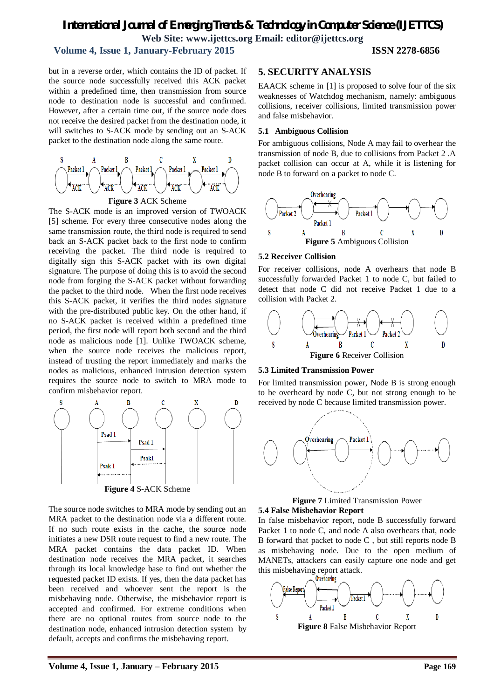# **Volume 4, Issue 1, January-February 2015 ISSN 2278-6856**

but in a reverse order, which contains the ID of packet. If the source node successfully received this ACK packet within a predefined time, then transmission from source node to destination node is successful and confirmed. However, after a certain time out, if the source node does not receive the desired packet from the destination node, it will switches to S-ACK mode by sending out an S-ACK packet to the destination node along the same route.



The S-ACK mode is an improved version of TWOACK [5] scheme. For every three consecutive nodes along the same transmission route, the third node is required to send back an S-ACK packet back to the first node to confirm receiving the packet. The third node is required to digitally sign this S-ACK packet with its own digital signature. The purpose of doing this is to avoid the second node from forging the S-ACK packet without forwarding the packet to the third node. When the first node receives this S-ACK packet, it verifies the third nodes signature with the pre-distributed public key. On the other hand, if no S-ACK packet is received within a predefined time period, the first node will report both second and the third node as malicious node [1]. Unlike TWOACK scheme, when the source node receives the malicious report, instead of trusting the report immediately and marks the nodes as malicious, enhanced intrusion detection system requires the source node to switch to MRA mode to confirm misbehavior report.



The source node switches to MRA mode by sending out an MRA packet to the destination node via a different route. If no such route exists in the cache, the source node initiates a new DSR route request to find a new route. The MRA packet contains the data packet ID. When destination node receives the MRA packet, it searches through its local knowledge base to find out whether the requested packet ID exists. If yes, then the data packet has been received and whoever sent the report is the misbehaving node. Otherwise, the misbehavior report is accepted and confirmed. For extreme conditions when there are no optional routes from source node to the destination node, enhanced intrusion detection system by default, accepts and confirms the misbehaving report.

#### **5. SECURITY ANALYSIS**

EAACK scheme in [1] is proposed to solve four of the six weaknesses of Watchdog mechanism, namely: ambiguous collisions, receiver collisions, limited transmission power and false misbehavior.

#### **5.1 Ambiguous Collision**

For ambiguous collisions, Node A may fail to overhear the transmission of node B, due to collisions from Packet 2 .A packet collision can occur at A, while it is listening for node B to forward on a packet to node C.



#### **5.2 Receiver Collision**

For receiver collisions, node A overhears that node B successfully forwarded Packet 1 to node C, but failed to detect that node C did not receive Packet 1 due to a collision with Packet 2.



#### **5.3 Limited Transmission Power**

For limited transmission power, Node B is strong enough to be overheard by node C, but not strong enough to be received by node C because limited transmission power.



**Figure 7** Limited Transmission Power **5.4 False Misbehavior Report**

In false misbehavior report, node B successfully forward Packet 1 to node C, and node A also overhears that, node B forward that packet to node C , but still reports node B as misbehaving node. Due to the open medium of MANETs, attackers can easily capture one node and get this misbehaving report attack.<br>  $\sim 0$